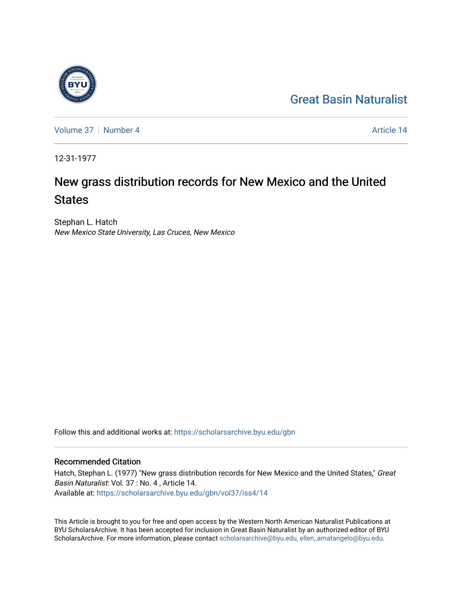# [Great Basin Naturalist](https://scholarsarchive.byu.edu/gbn)

[Volume 37](https://scholarsarchive.byu.edu/gbn/vol37) | [Number 4](https://scholarsarchive.byu.edu/gbn/vol37/iss4) Article 14

12-31-1977

# New grass distribution records for New Mexico and the United **States**

Stephan L. Hatch New Mexico State University, Las Cruces, New Mexico

Follow this and additional works at: [https://scholarsarchive.byu.edu/gbn](https://scholarsarchive.byu.edu/gbn?utm_source=scholarsarchive.byu.edu%2Fgbn%2Fvol37%2Fiss4%2F14&utm_medium=PDF&utm_campaign=PDFCoverPages) 

# Recommended Citation

Hatch, Stephan L. (1977) "New grass distribution records for New Mexico and the United States," Great Basin Naturalist: Vol. 37 : No. 4 , Article 14. Available at: [https://scholarsarchive.byu.edu/gbn/vol37/iss4/14](https://scholarsarchive.byu.edu/gbn/vol37/iss4/14?utm_source=scholarsarchive.byu.edu%2Fgbn%2Fvol37%2Fiss4%2F14&utm_medium=PDF&utm_campaign=PDFCoverPages) 

This Article is brought to you for free and open access by the Western North American Naturalist Publications at BYU ScholarsArchive. It has been accepted for inclusion in Great Basin Naturalist by an authorized editor of BYU ScholarsArchive. For more information, please contact [scholarsarchive@byu.edu, ellen\\_amatangelo@byu.edu.](mailto:scholarsarchive@byu.edu,%20ellen_amatangelo@byu.edu)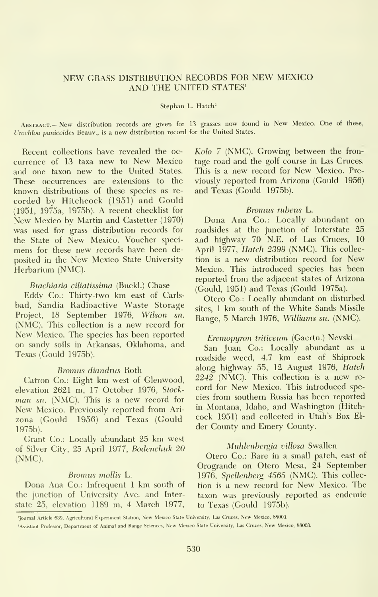## NEW GRASS DISTRIBUTION RECORDS FOR NEW MEXICO AND THE UNITED STATES'

#### Stephan L. Hatch<sup>2</sup>

Abstract.— New distribution records are given for <sup>13</sup> grasses now found in New Mexico. One of these, Urochloa panicoides Beauv., is a new distribution record for the United States.

Recent collections have revealed the oc currence of <sup>13</sup> taxa new to New Mexico and one taxon new to the United States. These occurrences are extensions to the known distributions of these species as re corded by Hitchcock (1951) and Gould (1951, 1975a, 1975b). A recent checklist for New Mexico by Martin and Castetter (1970) was used for grass distribution records for the State of New Mexico. Voucher speci mens for these new records have been de posited in the New Mexico State University Herbarium (NMC).

#### Brachiaria ciliatissima (Buckl.) Chase

Eddy Co.: Thirty-two km east of Carls bad, Sandia Radioactive Waste Storage Project, 18 September 1976, Wilson sn. (NMC). This collection is a new record for New Mexico. The species has been reported on sandy soils in Arkansas, Oklahoma, and Texas (Gould 1975b).

#### Bromus diandrus Roth

Catron Co.: Eight km west of Glenwood, elevation 2621 m, 17 October 1976, Stock man sn. (NMC). This is a new record for New Mexico. Previously reported from Ari zona (Gould 1956) and Texas (Gould 1975b).

Grant Co.: Locally abundant 25 km west of Silver City, 25 April 1977, Bodenchuk 20 (NMC).

#### Bromus mollis L.

Dona Ana Co.: Infrequent <sup>I</sup> km south of the junction of University Ave. and Interstate 25, elevation 1189 m, 4 March 1977,

Kolo 7 (NMC). Growing between the fron tage road and the golf course in Las Cruces. This is a new record for New Mexico. Previously reported from Arizona (Gould 1956) and Texas (Gould 1975b).

#### Bromus rubens L.

Dona Ana Co.: Locally abundant on roadsides at the junction of Interstate 25 and highway 70 N.E. of Las Cruces, 10 April 1977, *Hatch 2399* (NMC). This collection is <sup>a</sup> new distribution record for New Mexico. This introduced species has been reported from the adjacent states of Arizona (Gould, 1951) and Texas (Gould 1975a).

Otero Co.: Locally abundant on disturbed sites, <sup>1</sup> km south of the White Sands Missile Range, 5 March 1976, Williams sn. (NMC).

#### Eremopyron triticeum (Gaertn.) Nevski

San Juan Co.: Locally abundant as a roadside weed, 4.7 km east of Shiprock along highway 55, 12 August 1976, Hatch 2242 (NMC). This collection is <sup>a</sup> new re cord for New Mexico. This introduced species from southern Russia has been reported in Montana, Idaho, and Washington (Hitch cock 1951) and collected in Utah's Box El der County and Emery County.

#### Muhlenhergia villosa Swallen

Otero Co.: Rare in a small patch, east of Orogrande on Otero Mesa, 24 September 1976, Spellenberg 4565 (NMC). This collection is <sup>a</sup> new record for New Mexico. The taxon was previously reported as endemic to Texas (Gould 1975b).

Journal Article 639, Agricultural Experiment Station, New Mexico State University, Las Cruces, New Mexico, 88003.

<sup>&#</sup>x27;Assistant Professor. Department of Animal and Range Sciences, New Mexico State University, Las Cruces, New Mexico, 88003.